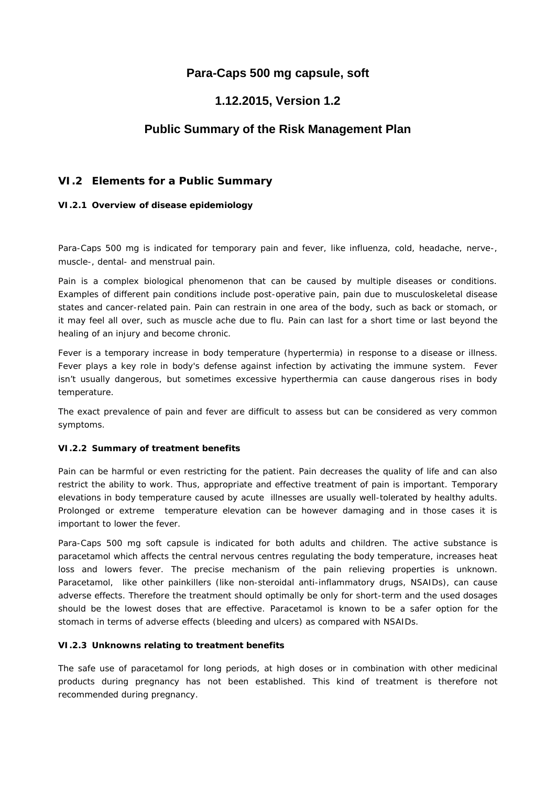## **Para-Caps 500 mg capsule, soft**

# **1.12.2015, Version 1.2**

## **Public Summary of the Risk Management Plan**

### **VI.2 Elements for a Public Summary**

*VI.2.1 Overview of disease epidemiology*

Para-Caps 500 mg is indicated for temporary pain and fever, like influenza, cold, headache, nerve-, muscle-, dental- and menstrual pain.

Pain is a complex biological phenomenon that can be caused by multiple diseases or conditions. Examples of different pain conditions include post-operative pain, pain due to musculoskeletal disease states and cancer-related pain. Pain can restrain in one area of the body, such as back or stomach, or it may feel all over, such as muscle ache due to flu. Pain can last for a short time or last beyond the healing of an injury and become chronic.

Fever is a temporary increase in body temperature (hypertermia) in response to a disease or illness. Fever plays a key role in body's defense against infection by activating the immune system. Fever isn't usually dangerous, but sometimes excessive hyperthermia can cause dangerous rises in body temperature.

The exact prevalence of pain and fever are difficult to assess but can be considered as very common symptoms.

#### *VI.2.2 Summary of treatment benefits*

Pain can be harmful or even restricting for the patient. Pain decreases the quality of life and can also restrict the ability to work. Thus, appropriate and effective treatment of pain is important. Temporary elevations in body temperature caused by acute illnesses are usually well-tolerated by healthy adults. Prolonged or extreme temperature elevation can be however damaging and in those cases it is important to lower the fever.

Para-Caps 500 mg soft capsule is indicated for both adults and children. The active substance is paracetamol which affects the central nervous centres regulating the body temperature, increases heat loss and lowers fever. The precise mechanism of the pain relieving properties is unknown. Paracetamol, like other painkillers (like non-steroidal anti-inflammatory drugs, NSAIDs), can cause adverse effects. Therefore the treatment should optimally be only for short-term and the used dosages should be the lowest doses that are effective. Paracetamol is known to be a safer option for the stomach in terms of adverse effects (bleeding and ulcers) as compared with NSAIDs.

#### *VI.2.3 Unknowns relating to treatment benefits*

The safe use of paracetamol for long periods, at high doses or in combination with other medicinal products during pregnancy has not been established. This kind of treatment is therefore not recommended during pregnancy.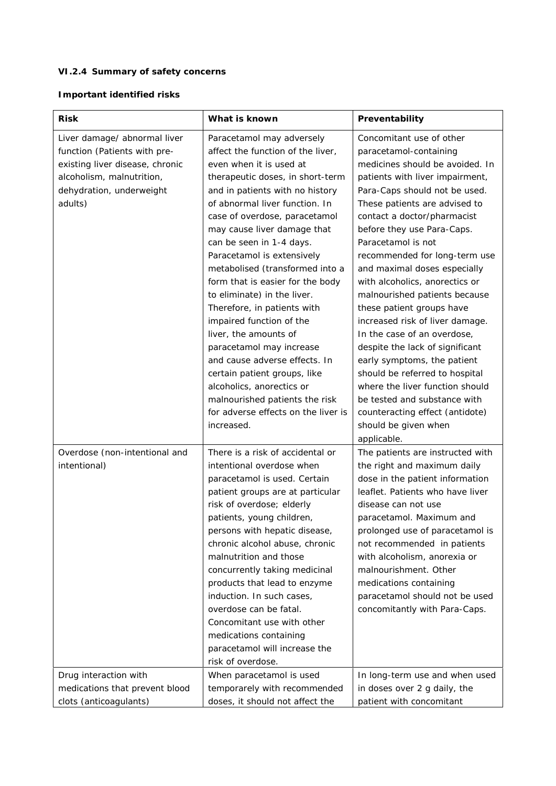### *VI.2.4 Summary of safety concerns*

**Important identified risks**

| Risk                                                                                                                                                                | What is known                                                                                                                                                                                                                                                                                                                                                                                                                                                                                                                                                                                                                                                                                                                           | Preventability                                                                                                                                                                                                                                                                                                                                                                                                                                                                                                                                                                                                                                                                                                                                                    |
|---------------------------------------------------------------------------------------------------------------------------------------------------------------------|-----------------------------------------------------------------------------------------------------------------------------------------------------------------------------------------------------------------------------------------------------------------------------------------------------------------------------------------------------------------------------------------------------------------------------------------------------------------------------------------------------------------------------------------------------------------------------------------------------------------------------------------------------------------------------------------------------------------------------------------|-------------------------------------------------------------------------------------------------------------------------------------------------------------------------------------------------------------------------------------------------------------------------------------------------------------------------------------------------------------------------------------------------------------------------------------------------------------------------------------------------------------------------------------------------------------------------------------------------------------------------------------------------------------------------------------------------------------------------------------------------------------------|
| Liver damage/ abnormal liver<br>function (Patients with pre-<br>existing liver disease, chronic<br>alcoholism, malnutrition,<br>dehydration, underweight<br>adults) | Paracetamol may adversely<br>affect the function of the liver,<br>even when it is used at<br>therapeutic doses, in short-term<br>and in patients with no history<br>of abnormal liver function. In<br>case of overdose, paracetamol<br>may cause liver damage that<br>can be seen in 1-4 days.<br>Paracetamol is extensively<br>metabolised (transformed into a<br>form that is easier for the body<br>to eliminate) in the liver.<br>Therefore, in patients with<br>impaired function of the<br>liver, the amounts of<br>paracetamol may increase<br>and cause adverse effects. In<br>certain patient groups, like<br>alcoholics, anorectics or<br>malnourished patients the risk<br>for adverse effects on the liver is<br>increased. | Concomitant use of other<br>paracetamol-containing<br>medicines should be avoided. In<br>patients with liver impairment,<br>Para-Caps should not be used.<br>These patients are advised to<br>contact a doctor/pharmacist<br>before they use Para-Caps.<br>Paracetamol is not<br>recommended for long-term use<br>and maximal doses especially<br>with alcoholics, anorectics or<br>malnourished patients because<br>these patient groups have<br>increased risk of liver damage.<br>In the case of an overdose,<br>despite the lack of significant<br>early symptoms, the patient<br>should be referred to hospital<br>where the liver function should<br>be tested and substance with<br>counteracting effect (antidote)<br>should be given when<br>applicable. |
| Overdose (non-intentional and<br>intentional)                                                                                                                       | There is a risk of accidental or<br>intentional overdose when<br>paracetamol is used. Certain<br>patient groups are at particular<br>risk of overdose; elderly<br>patients, young children,<br>persons with hepatic disease,<br>chronic alcohol abuse, chronic<br>malnutrition and those<br>concurrently taking medicinal<br>products that lead to enzyme<br>induction. In such cases,<br>overdose can be fatal.<br>Concomitant use with other<br>medications containing<br>paracetamol will increase the<br>risk of overdose.                                                                                                                                                                                                          | The patients are instructed with<br>the right and maximum daily<br>dose in the patient information<br>leaflet. Patients who have liver<br>disease can not use<br>paracetamol. Maximum and<br>prolonged use of paracetamol is<br>not recommended in patients<br>with alcoholism, anorexia or<br>malnourishment. Other<br>medications containing<br>paracetamol should not be used<br>concomitantly with Para-Caps.                                                                                                                                                                                                                                                                                                                                                 |
| Drug interaction with                                                                                                                                               | When paracetamol is used                                                                                                                                                                                                                                                                                                                                                                                                                                                                                                                                                                                                                                                                                                                | In long-term use and when used                                                                                                                                                                                                                                                                                                                                                                                                                                                                                                                                                                                                                                                                                                                                    |
| medications that prevent blood<br>clots (anticoagulants)                                                                                                            | temporarely with recommended<br>doses, it should not affect the                                                                                                                                                                                                                                                                                                                                                                                                                                                                                                                                                                                                                                                                         | in doses over 2 g daily, the<br>patient with concomitant                                                                                                                                                                                                                                                                                                                                                                                                                                                                                                                                                                                                                                                                                                          |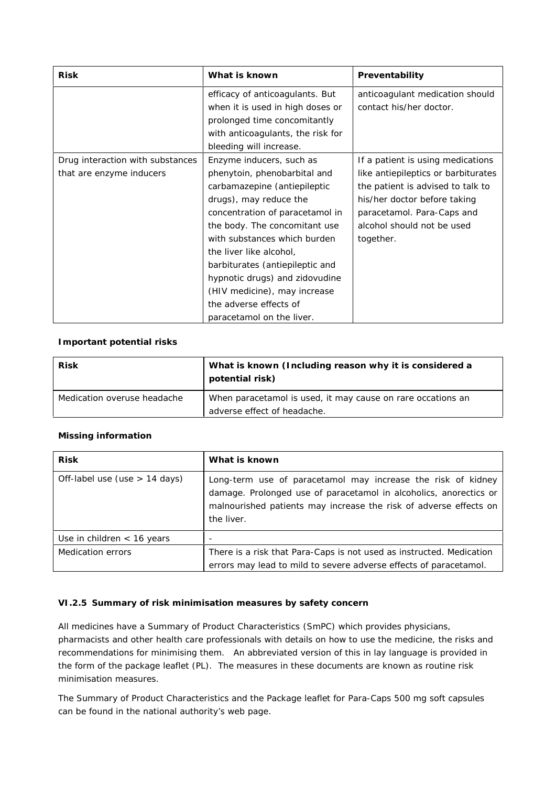|                                                              | efficacy of anticoagulants. But                                                                                                                                                                                                                                                                                                                                                                               |                                                                                                                                                                                                                        |
|--------------------------------------------------------------|---------------------------------------------------------------------------------------------------------------------------------------------------------------------------------------------------------------------------------------------------------------------------------------------------------------------------------------------------------------------------------------------------------------|------------------------------------------------------------------------------------------------------------------------------------------------------------------------------------------------------------------------|
|                                                              | when it is used in high doses or<br>prolonged time concomitantly<br>with anticoagulants, the risk for<br>bleeding will increase.                                                                                                                                                                                                                                                                              | anticoagulant medication should<br>contact his/her doctor.                                                                                                                                                             |
| Drug interaction with substances<br>that are enzyme inducers | Enzyme inducers, such as<br>phenytoin, phenobarbital and<br>carbamazepine (antiepileptic<br>drugs), may reduce the<br>concentration of paracetamol in<br>the body. The concomitant use<br>with substances which burden<br>the liver like alcohol,<br>barbiturates (antiepileptic and<br>hypnotic drugs) and zidovudine<br>(HIV medicine), may increase<br>the adverse effects of<br>paracetamol on the liver. | If a patient is using medications<br>like antiepileptics or barbiturates<br>the patient is advised to talk to<br>his/her doctor before taking<br>paracetamol. Para-Caps and<br>alcohol should not be used<br>together. |

#### **Important potential risks**

| <b>Risk</b>                 | What is known (Including reason why it is considered a<br>potential risk) |
|-----------------------------|---------------------------------------------------------------------------|
| Medication overuse headache | When paracetamol is used, it may cause on rare occations an               |
|                             | adverse effect of headache.                                               |

#### **Missing information**

| <b>Risk</b>                     | What is known                                                                                                                                                                                                        |
|---------------------------------|----------------------------------------------------------------------------------------------------------------------------------------------------------------------------------------------------------------------|
| Off-label use (use $> 14$ days) | Long-term use of paracetamol may increase the risk of kidney<br>damage. Prolonged use of paracetamol in alcoholics, anorectics or<br>malnourished patients may increase the risk of adverse effects on<br>the liver. |
| Use in children $<$ 16 years    | $\overline{\phantom{a}}$                                                                                                                                                                                             |
| Medication errors               | There is a risk that Para-Caps is not used as instructed. Medication<br>errors may lead to mild to severe adverse effects of paracetamol.                                                                            |

#### *VI.2.5 Summary of risk minimisation measures by safety concern*

All medicines have a Summary of Product Characteristics (SmPC) which provides physicians, pharmacists and other health care professionals with details on how to use the medicine, the risks and recommendations for minimising them. An abbreviated version of this in lay language is provided in the form of the package leaflet (PL). The measures in these documents are known as routine risk minimisation measures.

The Summary of Product Characteristics and the Package leaflet for Para-Caps 500 mg soft capsules can be found in the national authority's web page.